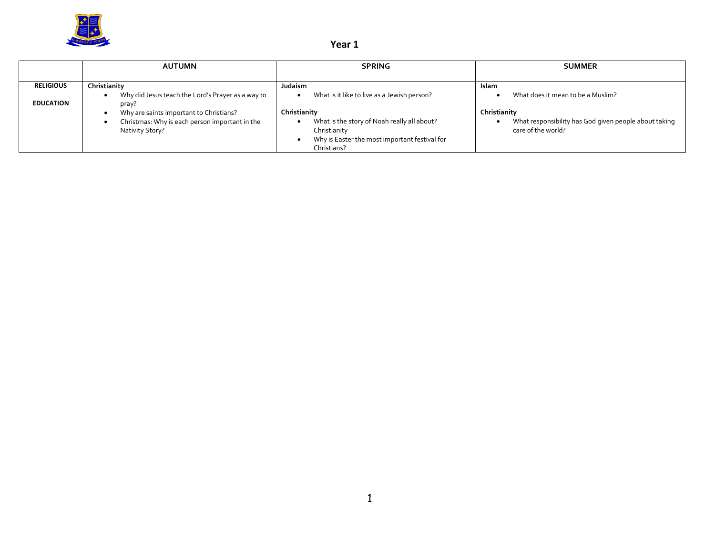

## **Year 1**

|                  | <b>AUTUMN</b>                                                                                                | <b>SPRING</b>                                                                                                                               | <b>SUMMER</b>                                                                               |
|------------------|--------------------------------------------------------------------------------------------------------------|---------------------------------------------------------------------------------------------------------------------------------------------|---------------------------------------------------------------------------------------------|
| <b>RELIGIOUS</b> | Christianity                                                                                                 | <b>Judaism</b>                                                                                                                              | Islam                                                                                       |
| <b>EDUCATION</b> | Why did Jesus teach the Lord's Prayer as a way to<br>pray?                                                   | What is it like to live as a Jewish person?                                                                                                 | What does it mean to be a Muslim?                                                           |
|                  | Why are saints important to Christians?<br>Christmas: Why is each person important in the<br>Nativity Story? | Christianity<br>What is the story of Noah really all about?<br>Christianity<br>Why is Easter the most important festival for<br>Christians? | Christianity<br>What responsibility has God given people about taking<br>care of the world? |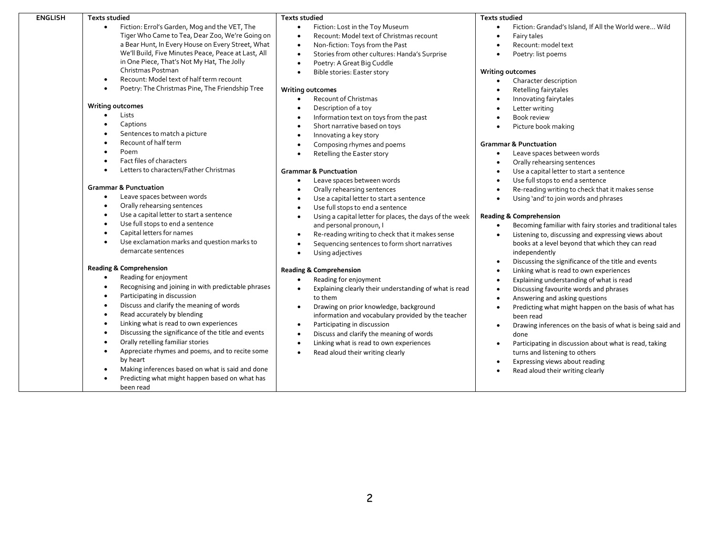| Fiction: Errol's Garden, Mog and the VET, The<br>Fiction: Lost in the Toy Museum<br>Tiger Who Came to Tea, Dear Zoo, We're Going on<br>Recount: Model text of Christmas recount<br>Fairy tales<br>$\bullet$<br>٠<br>a Bear Hunt, In Every House on Every Street, What<br>Non-fiction: Toys from the Past<br>Recount: model text<br>$\bullet$<br>We'll Build, Five Minutes Peace, Peace at Last, All<br>Stories from other cultures: Handa's Surprise<br>Poetry: list poems<br>$\bullet$<br>in One Piece, That's Not My Hat, The Jolly<br>Poetry: A Great Big Cuddle<br>Christmas Postman<br><b>Writing outcomes</b><br>Bible stories: Easter story<br>$\bullet$<br>Recount: Model text of half term recount<br>Character description<br>$\bullet$<br>Poetry: The Christmas Pine, The Friendship Tree<br>Retelling fairytales<br><b>Writing outcomes</b><br>$\bullet$<br>Recount of Christmas<br>Innovating fairytales<br><b>Writing outcomes</b><br>Description of a toy<br>Letter writing<br>$\bullet$<br>Lists<br>Information text on toys from the past<br>Book review<br>Captions<br>Short narrative based on toys<br>Picture book making<br>$\bullet$<br>Sentences to match a picture<br>$\bullet$<br>Innovating a key story<br>$\bullet$<br>Recount of half term<br>$\bullet$<br><b>Grammar &amp; Punctuation</b><br>Composing rhymes and poems<br>$\bullet$<br>Poem<br>Leave spaces between words<br>$\bullet$<br>Retelling the Easter story<br>$\bullet$<br>$\bullet$<br>Fact files of characters<br>Orally rehearsing sentences<br>٠<br>Letters to characters/Father Christmas<br><b>Grammar &amp; Punctuation</b><br>Use a capital letter to start a sentence                                                                                                                                                                                                                                                                                                                                                                                                                       |                                                                                                                                                                                                                                                                                                                                                                                                              |
|-----------------------------------------------------------------------------------------------------------------------------------------------------------------------------------------------------------------------------------------------------------------------------------------------------------------------------------------------------------------------------------------------------------------------------------------------------------------------------------------------------------------------------------------------------------------------------------------------------------------------------------------------------------------------------------------------------------------------------------------------------------------------------------------------------------------------------------------------------------------------------------------------------------------------------------------------------------------------------------------------------------------------------------------------------------------------------------------------------------------------------------------------------------------------------------------------------------------------------------------------------------------------------------------------------------------------------------------------------------------------------------------------------------------------------------------------------------------------------------------------------------------------------------------------------------------------------------------------------------------------------------------------------------------------------------------------------------------------------------------------------------------------------------------------------------------------------------------------------------------------------------------------------------------------------------------------------------------------------------------------------------------------------------------------------------------------------------------------|--------------------------------------------------------------------------------------------------------------------------------------------------------------------------------------------------------------------------------------------------------------------------------------------------------------------------------------------------------------------------------------------------------------|
| Use full stops to end a sentence<br>Leave spaces between words<br><b>Grammar &amp; Punctuation</b><br>Orally rehearsing sentences<br>$\bullet$<br>Leave spaces between words<br>Use a capital letter to start a sentence<br>Using 'and' to join words and phrases                                                                                                                                                                                                                                                                                                                                                                                                                                                                                                                                                                                                                                                                                                                                                                                                                                                                                                                                                                                                                                                                                                                                                                                                                                                                                                                                                                                                                                                                                                                                                                                                                                                                                                                                                                                                                             | Fiction: Grandad's Island, If All the World were Wild<br>Re-reading writing to check that it makes sense                                                                                                                                                                                                                                                                                                     |
| Orally rehearsing sentences<br>$\bullet$<br>Use full stops to end a sentence<br>$\bullet$<br>Use a capital letter to start a sentence<br>$\bullet$<br>Using a capital letter for places, the days of the week<br><b>Reading &amp; Comprehension</b><br>Use full stops to end a sentence<br>$\bullet$<br>and personal pronoun, I<br>$\bullet$<br>Capital letters for names<br>$\bullet$<br>Re-reading writing to check that it makes sense<br>Use exclamation marks and question marks to<br>$\bullet$<br>Sequencing sentences to form short narratives<br>demarcate sentences<br>independently<br>Using adjectives<br>٠<br><b>Reading &amp; Comprehension</b><br><b>Reading &amp; Comprehension</b><br>Linking what is read to own experiences<br>$\bullet$<br>Reading for enjoyment<br>$\bullet$<br>Reading for enjoyment<br>Explaining understanding of what is read<br>Recognising and joining in with predictable phrases<br>$\bullet$<br>Explaining clearly their understanding of what is read<br>Discussing favourite words and phrases<br>Participating in discussion<br>$\bullet$<br>to them<br>Answering and asking questions<br>$\bullet$<br>Discuss and clarify the meaning of words<br>$\bullet$<br>Drawing on prior knowledge, background<br>Read accurately by blending<br>information and vocabulary provided by the teacher<br>$\bullet$<br>been read<br>Linking what is read to own experiences<br>$\bullet$<br>Participating in discussion<br>Discussing the significance of the title and events<br>Discuss and clarify the meaning of words<br>$\bullet$<br>$\bullet$<br>done<br>Orally retelling familiar stories<br>$\bullet$<br>Linking what is read to own experiences<br>$\bullet$<br>$\bullet$<br>Appreciate rhymes and poems, and to recite some<br>Read aloud their writing clearly<br>turns and listening to others<br>$\bullet$<br>$\bullet$<br>by heart<br>Expressing views about reading<br>$\bullet$<br>Making inferences based on what is said and done<br>$\bullet$<br>Read aloud their writing clearly<br>Predicting what might happen based on what has | Becoming familiar with fairy stories and traditional tales<br>Listening to, discussing and expressing views about<br>books at a level beyond that which they can read<br>Discussing the significance of the title and events<br>Predicting what might happen on the basis of what has<br>Drawing inferences on the basis of what is being said and<br>Participating in discussion about what is read, taking |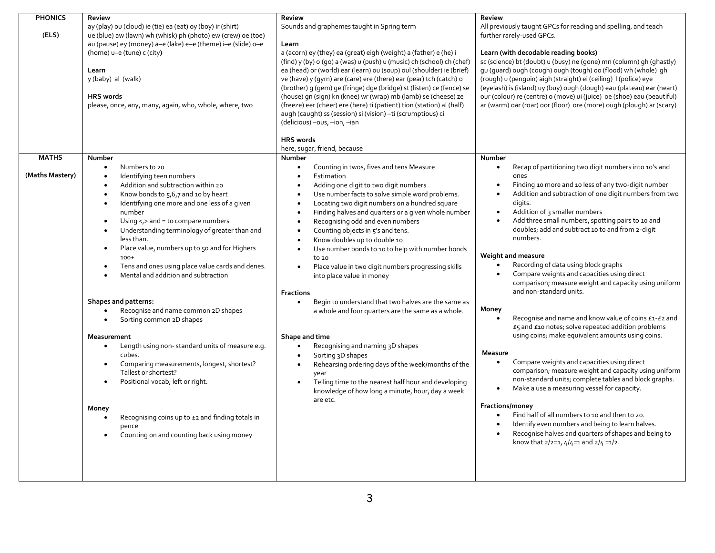| <b>PHONICS</b><br>(ELS) | <b>Review</b><br>ay (play) ou (cloud) ie (tie) ea (eat) oy (boy) ir (shirt)<br>ue (blue) aw (lawn) wh (whisk) ph (photo) ew (crew) oe (toe)<br>au (pause) ey (money) a-e (lake) e-e (theme) i-e (slide) o-e<br>(home) u-e (tune) c (city)<br>Learn<br>y (baby) al (walk)<br><b>HRS</b> words<br>please, once, any, many, again, who, whole, where, two                                                                                                                                                                                                                                                                 | <b>Review</b><br>Sounds and graphemes taught in Spring term<br>Learn<br>a (acorn) ey (they) ea (great) eigh (weight) a (father) e (he) i<br>(find) y (by) o (go) a (was) u (push) u (music) ch (school) ch (chef)<br>ea (head) or (world) ear (learn) ou (soup) oul (shoulder) ie (brief)<br>ve (have) y (qym) are (care) ere (there) ear (pear) tch (catch) o<br>(brother) g (gem) ge (fringe) dge (bridge) st (listen) ce (fence) se<br>(house) gn (sign) kn (knee) wr (wrap) mb (lamb) se (cheese) ze<br>(freeze) eer (cheer) ere (here) ti (patient) tion (station) al (half)                                                                                                                                                            | <b>Review</b><br>All previously taught GPCs for reading and spelling, and teach<br>further rarely-used GPCs.<br>Learn (with decodable reading books)<br>sc (science) bt (doubt) u (busy) ne (gone) mn (column) gh (ghastly)<br>gu (guard) ough (cough) ough (tough) oo (flood) wh (whole) gh<br>(rough) u (penguin) aigh (straight) ei (ceiling) I (police) eye<br>(eyelash) is (island) uy (buy) ough (dough) eau (plateau) ear (heart)<br>our (colour) re (centre) o (move) ui (juice) oe (shoe) eau (beautiful)<br>ar (warm) oar (roar) oor (floor) ore (more) ough (plough) ar (scary)                                                                               |
|-------------------------|------------------------------------------------------------------------------------------------------------------------------------------------------------------------------------------------------------------------------------------------------------------------------------------------------------------------------------------------------------------------------------------------------------------------------------------------------------------------------------------------------------------------------------------------------------------------------------------------------------------------|----------------------------------------------------------------------------------------------------------------------------------------------------------------------------------------------------------------------------------------------------------------------------------------------------------------------------------------------------------------------------------------------------------------------------------------------------------------------------------------------------------------------------------------------------------------------------------------------------------------------------------------------------------------------------------------------------------------------------------------------|--------------------------------------------------------------------------------------------------------------------------------------------------------------------------------------------------------------------------------------------------------------------------------------------------------------------------------------------------------------------------------------------------------------------------------------------------------------------------------------------------------------------------------------------------------------------------------------------------------------------------------------------------------------------------|
| <b>MATHS</b>            | Number<br>Numbers to 20<br>$\bullet$                                                                                                                                                                                                                                                                                                                                                                                                                                                                                                                                                                                   | augh (caught) ss (session) si (vision) - ti (scrumptious) ci<br>(delicious) -ous, -ion, -ian<br><b>HRS</b> words<br>here, sugar, friend, because<br>Number<br>Counting in twos, fives and tens Measure<br>$\bullet$                                                                                                                                                                                                                                                                                                                                                                                                                                                                                                                          | Number<br>Recap of partitioning two digit numbers into 10's and                                                                                                                                                                                                                                                                                                                                                                                                                                                                                                                                                                                                          |
| (Maths Mastery)         | Identifying teen numbers<br>$\bullet$<br>Addition and subtraction within 20<br>$\bullet$<br>Know bonds to 5,6,7 and 10 by heart<br>$\bullet$<br>Identifying one more and one less of a given<br>$\bullet$<br>number<br>Using $\lt$ , $>$ and = to compare numbers<br>$\bullet$<br>Understanding terminology of greater than and<br>$\bullet$<br>less than.<br>Place value, numbers up to 50 and for Highers<br>$\bullet$<br>$100+$<br>Tens and ones using place value cards and denes.<br>$\bullet$<br>Mental and addition and subtraction<br>Shapes and patterns:<br>Recognise and name common 2D shapes<br>$\bullet$ | Estimation<br>$\bullet$<br>Adding one digit to two digit numbers<br>Use number facts to solve simple word problems.<br>$\bullet$<br>Locating two digit numbers on a hundred square<br>$\bullet$<br>Finding halves and quarters or a given whole number<br>$\bullet$<br>Recognising odd and even numbers<br>$\bullet$<br>Counting objects in 5's and tens.<br>$\bullet$<br>Know doubles up to double 10<br>$\bullet$<br>Use number bonds to 10 to help with number bonds<br>$\bullet$<br>to 20<br>Place value in two digit numbers progressing skills<br>$\bullet$<br>into place value in money<br><b>Fractions</b><br>Begin to understand that two halves are the same as<br>$\bullet$<br>a whole and four quarters are the same as a whole. | ones<br>Finding 10 more and 10 less of any two-digit number<br>$\bullet$<br>Addition and subtraction of one digit numbers from two<br>digits.<br>Addition of 3 smaller numbers<br>$\bullet$<br>Add three small numbers, spotting pairs to 10 and<br>doubles; add and subtract 10 to and from 2-digit<br>numbers.<br>Weight and measure<br>Recording of data using block graphs<br>Compare weights and capacities using direct<br>comparison; measure weight and capacity using uniform<br>and non-standard units.<br>Money                                                                                                                                               |
|                         | Sorting common 2D shapes<br>Measurement<br>Length using non-standard units of measure e.g.<br>$\bullet$<br>cubes.<br>Comparing measurements, longest, shortest?<br>$\bullet$<br>Tallest or shortest?<br>Positional vocab, left or right.<br>$\bullet$<br>Money<br>Recognising coins up to £2 and finding totals in<br>$\bullet$<br>pence<br>Counting on and counting back using money<br>$\bullet$                                                                                                                                                                                                                     | Shape and time<br>Recognising and naming 3D shapes<br>$\bullet$<br>Sorting 3D shapes<br>$\bullet$<br>Rehearsing ordering days of the week/months of the<br>$\bullet$<br>year<br>Telling time to the nearest half hour and developing<br>$\bullet$<br>knowledge of how long a minute, hour, day a week<br>are etc.                                                                                                                                                                                                                                                                                                                                                                                                                            | Recognise and name and know value of coins £1-£2 and<br>£5 and £10 notes; solve repeated addition problems<br>using coins; make equivalent amounts using coins.<br>Measure<br>Compare weights and capacities using direct<br>comparison; measure weight and capacity using uniform<br>non-standard units; complete tables and block graphs.<br>Make a use a measuring vessel for capacity.<br>$\bullet$<br><b>Fractions/money</b><br>Find half of all numbers to 10 and then to 20.<br>$\bullet$<br>Identify even numbers and being to learn halves.<br>Recognise halves and quarters of shapes and being to<br>$\bullet$<br>know that $2/2=1$ , $4/4=1$ and $2/4=1/2$ . |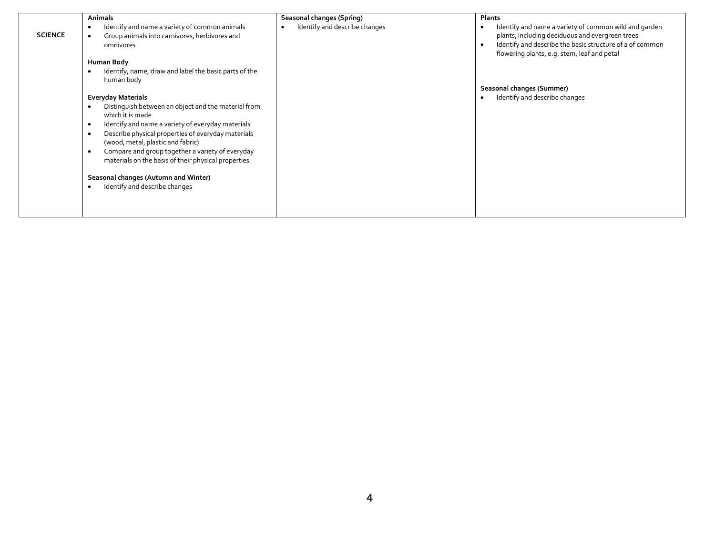|                | Animals                                                                                                                                                                                                                                                                     | Seasonal changes (Spring)     | Plants                                                                                                                                                                                                                           |
|----------------|-----------------------------------------------------------------------------------------------------------------------------------------------------------------------------------------------------------------------------------------------------------------------------|-------------------------------|----------------------------------------------------------------------------------------------------------------------------------------------------------------------------------------------------------------------------------|
| <b>SCIENCE</b> | Identify and name a variety of common animals<br>Group animals into carnivores, herbivores and<br>omnivores                                                                                                                                                                 | Identify and describe changes | Identify and name a variety of common wild and garden<br>plants, including deciduous and evergreen trees<br>Identify and describe the basic structure of a of common<br>$\bullet$<br>flowering plants, e.g. stem, leaf and petal |
|                | Human Body                                                                                                                                                                                                                                                                  |                               |                                                                                                                                                                                                                                  |
|                | Identify, name, draw and label the basic parts of the<br>human body                                                                                                                                                                                                         |                               |                                                                                                                                                                                                                                  |
|                |                                                                                                                                                                                                                                                                             |                               | Seasonal changes (Summer)                                                                                                                                                                                                        |
|                | <b>Everyday Materials</b>                                                                                                                                                                                                                                                   |                               | Identify and describe changes                                                                                                                                                                                                    |
|                | Distinguish between an object and the material from<br>which it is made<br>Identify and name a variety of everyday materials<br>Describe physical properties of everyday materials<br>(wood, metal, plastic and fabric)<br>Compare and group together a variety of everyday |                               |                                                                                                                                                                                                                                  |
|                | materials on the basis of their physical properties<br>Seasonal changes (Autumn and Winter)<br>Identify and describe changes                                                                                                                                                |                               |                                                                                                                                                                                                                                  |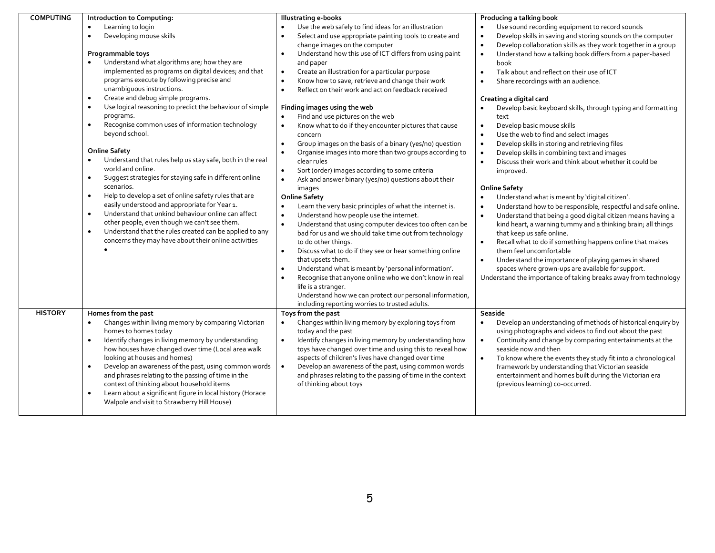| <b>COMPUTING</b> | Introduction to Computing:                                                                                                                                                                                                                                                                                                                                                                                                                                                                                                                     | <b>Illustrating e-books</b>                                                                                                                                                                                                                                                                                                                                                                                                                                                                                                                                                                                                                                                                                                                                                                                      | Producing a talking book                                                                                                                                                                                                                                                                                                                                                                                                                                                                                                                                                                                                                                                                              |
|------------------|------------------------------------------------------------------------------------------------------------------------------------------------------------------------------------------------------------------------------------------------------------------------------------------------------------------------------------------------------------------------------------------------------------------------------------------------------------------------------------------------------------------------------------------------|------------------------------------------------------------------------------------------------------------------------------------------------------------------------------------------------------------------------------------------------------------------------------------------------------------------------------------------------------------------------------------------------------------------------------------------------------------------------------------------------------------------------------------------------------------------------------------------------------------------------------------------------------------------------------------------------------------------------------------------------------------------------------------------------------------------|-------------------------------------------------------------------------------------------------------------------------------------------------------------------------------------------------------------------------------------------------------------------------------------------------------------------------------------------------------------------------------------------------------------------------------------------------------------------------------------------------------------------------------------------------------------------------------------------------------------------------------------------------------------------------------------------------------|
|                  | Learning to login<br>$\bullet$<br>Developing mouse skills<br>$\bullet$<br>Programmable toys<br>Understand what algorithms are; how they are<br>implemented as programs on digital devices; and that<br>programs execute by following precise and<br>unambiguous instructions.<br>Create and debug simple programs.<br>$\bullet$<br>Use logical reasoning to predict the behaviour of simple<br>programs.<br>Recognise common uses of information technology<br>$\bullet$<br>beyond school.<br><b>Online Safety</b>                             | Use the web safely to find ideas for an illustration<br>Select and use appropriate painting tools to create and<br>change images on the computer<br>Understand how this use of ICT differs from using paint<br>and paper<br>Create an illustration for a particular purpose<br>$\bullet$<br>Know how to save, retrieve and change their work<br>$\bullet$<br>Reflect on their work and act on feedback received<br>$\bullet$<br>Finding images using the web<br>Find and use pictures on the web<br>Know what to do if they encounter pictures that cause<br>$\bullet$<br>concern<br>Group images on the basis of a binary (yes/no) question<br>$\bullet$<br>Organise images into more than two groups according to<br>$\bullet$                                                                                 | Use sound recording equipment to record sounds<br>Develop skills in saving and storing sounds on the computer<br>$\bullet$<br>Develop collaboration skills as they work together in a group<br>$\bullet$<br>Understand how a talking book differs from a paper-based<br>$\bullet$<br>book<br>Talk about and reflect on their use of ICT<br>$\bullet$<br>Share recordings with an audience.<br>Creating a digital card<br>Develop basic keyboard skills, through typing and formatting<br>text<br>Develop basic mouse skills<br>$\bullet$<br>Use the web to find and select images<br>Develop skills in storing and retrieving files<br>$\bullet$<br>Develop skills in combining text and images       |
|                  | Understand that rules help us stay safe, both in the real<br>world and online.<br>Suggest strategies for staying safe in different online<br>$\bullet$<br>scenarios.<br>Help to develop a set of online safety rules that are<br>$\bullet$<br>easily understood and appropriate for Year 1.<br>Understand that unkind behaviour online can affect<br>$\bullet$<br>other people, even though we can't see them.<br>Understand that the rules created can be applied to any<br>$\bullet$<br>concerns they may have about their online activities | clear rules<br>Sort (order) images according to some criteria<br>$\bullet$<br>Ask and answer binary (yes/no) questions about their<br>$\bullet$<br>images<br><b>Online Safety</b><br>Learn the very basic principles of what the internet is.<br>Understand how people use the internet.<br>$\bullet$<br>Understand that using computer devices too often can be<br>$\bullet$<br>bad for us and we should take time out from technology<br>to do other things.<br>Discuss what to do if they see or hear something online<br>$\bullet$<br>that upsets them.<br>Understand what is meant by 'personal information'.<br>Recognise that anyone online who we don't know in real<br>life is a stranger.<br>Understand how we can protect our personal information,<br>including reporting worries to trusted adults. | Discuss their work and think about whether it could be<br>$\bullet$<br>improved.<br><b>Online Safety</b><br>Understand what is meant by 'digital citizen'.<br>Understand how to be responsible, respectful and safe online.<br>Understand that being a good digital citizen means having a<br>$\bullet$<br>kind heart, a warning tummy and a thinking brain; all things<br>that keep us safe online.<br>Recall what to do if something happens online that makes<br>$\bullet$<br>them feel uncomfortable<br>Understand the importance of playing games in shared<br>$\bullet$<br>spaces where grown-ups are available for support.<br>Understand the importance of taking breaks away from technology |
| <b>HISTORY</b>   | Homes from the past<br>Changes within living memory by comparing Victorian<br>homes to homes today<br>Identify changes in living memory by understanding<br>$\bullet$<br>how houses have changed over time (Local area walk<br>looking at houses and homes)<br>Develop an awareness of the past, using common words<br>and phrases relating to the passing of time in the<br>context of thinking about household items<br>Learn about a significant figure in local history (Horace<br>Walpole and visit to Strawberry Hill House)             | Toys from the past<br>Changes within living memory by exploring toys from<br>$\bullet$<br>today and the past<br>Identify changes in living memory by understanding how<br>$\bullet$<br>toys have changed over time and using this to reveal how<br>aspects of children's lives have changed over time<br>Develop an awareness of the past, using common words<br>$\bullet$<br>and phrases relating to the passing of time in the context<br>of thinking about toys                                                                                                                                                                                                                                                                                                                                               | Seaside<br>Develop an understanding of methods of historical enquiry by<br>using photographs and videos to find out about the past<br>Continuity and change by comparing entertainments at the<br>$\bullet$<br>seaside now and then<br>To know where the events they study fit into a chronological<br>$\bullet$<br>framework by understanding that Victorian seaside<br>entertainment and homes built during the Victorian era<br>(previous learning) co-occurred.                                                                                                                                                                                                                                   |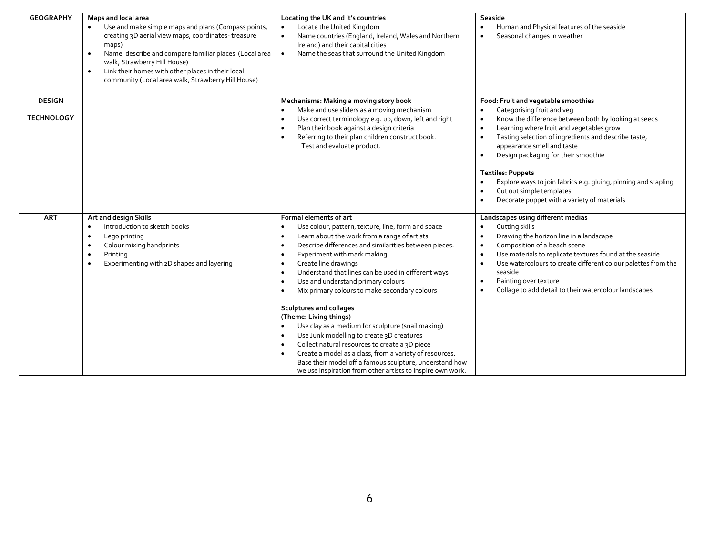| <b>GEOGRAPHY</b>                   | Maps and local area<br>Use and make simple maps and plans (Compass points,<br>creating 3D aerial view maps, coordinates-treasure<br>maps)<br>Name, describe and compare familiar places (Local area<br>$\bullet$<br>walk, Strawberry Hill House)<br>Link their homes with other places in their local<br>$\bullet$<br>community (Local area walk, Strawberry Hill House) | Locating the UK and it's countries<br>Locate the United Kingdom<br>$\bullet$<br>Name countries (England, Ireland, Wales and Northern<br>Ireland) and their capital cities<br>Name the seas that surround the United Kingdom<br>$\bullet$                                                                                                                                                                                                                                                                                                                                                                                                                                                                                                                                                                                                                                                                                                             | Seaside<br>Human and Physical features of the seaside<br>Seasonal changes in weather                                                                                                                                                                                                                                                                                                                                                                                                                               |
|------------------------------------|--------------------------------------------------------------------------------------------------------------------------------------------------------------------------------------------------------------------------------------------------------------------------------------------------------------------------------------------------------------------------|------------------------------------------------------------------------------------------------------------------------------------------------------------------------------------------------------------------------------------------------------------------------------------------------------------------------------------------------------------------------------------------------------------------------------------------------------------------------------------------------------------------------------------------------------------------------------------------------------------------------------------------------------------------------------------------------------------------------------------------------------------------------------------------------------------------------------------------------------------------------------------------------------------------------------------------------------|--------------------------------------------------------------------------------------------------------------------------------------------------------------------------------------------------------------------------------------------------------------------------------------------------------------------------------------------------------------------------------------------------------------------------------------------------------------------------------------------------------------------|
| <b>DESIGN</b><br><b>TECHNOLOGY</b> |                                                                                                                                                                                                                                                                                                                                                                          | Mechanisms: Making a moving story book<br>Make and use sliders as a moving mechanism<br>$\bullet$<br>Use correct terminology e.g. up, down, left and right<br>$\bullet$<br>Plan their book against a design criteria<br>$\bullet$<br>Referring to their plan children construct book.<br>Test and evaluate product.                                                                                                                                                                                                                                                                                                                                                                                                                                                                                                                                                                                                                                  | Food: Fruit and vegetable smoothies<br>Categorising fruit and veg<br>Know the difference between both by looking at seeds<br>$\bullet$<br>Learning where fruit and vegetables grow<br>$\bullet$<br>Tasting selection of ingredients and describe taste,<br>$\bullet$<br>appearance smell and taste<br>Design packaging for their smoothie<br><b>Textiles: Puppets</b><br>Explore ways to join fabrics e.g. gluing, pinning and stapling<br>Cut out simple templates<br>Decorate puppet with a variety of materials |
| <b>ART</b>                         | Art and design Skills<br>Introduction to sketch books<br>Lego printing<br>$\bullet$<br>Colour mixing handprints<br>Printing<br>$\bullet$<br>Experimenting with 2D shapes and layering                                                                                                                                                                                    | Formal elements of art<br>Use colour, pattern, texture, line, form and space<br>$\bullet$<br>Learn about the work from a range of artists.<br>$\bullet$<br>Describe differences and similarities between pieces.<br>$\bullet$<br>Experiment with mark making<br>$\bullet$<br>Create line drawings<br>$\bullet$<br>Understand that lines can be used in different ways<br>$\bullet$<br>Use and understand primary colours<br>$\bullet$<br>Mix primary colours to make secondary colours<br>$\bullet$<br>Sculptures and collages<br>(Theme: Living things)<br>Use clay as a medium for sculpture (snail making)<br>$\bullet$<br>Use Junk modelling to create 3D creatures<br>$\bullet$<br>Collect natural resources to create a 3D piece<br>$\bullet$<br>Create a model as a class, from a variety of resources.<br>$\bullet$<br>Base their model off a famous sculpture, understand how<br>we use inspiration from other artists to inspire own work. | Landscapes using different medias<br>Cutting skills<br>Drawing the horizon line in a landscape<br>$\bullet$<br>Composition of a beach scene<br>$\bullet$<br>Use materials to replicate textures found at the seaside<br>Use watercolours to create different colour palettes from the<br>$\bullet$<br>seaside<br>Painting over texture<br>$\bullet$<br>Collage to add detail to their watercolour landscapes<br>$\bullet$                                                                                          |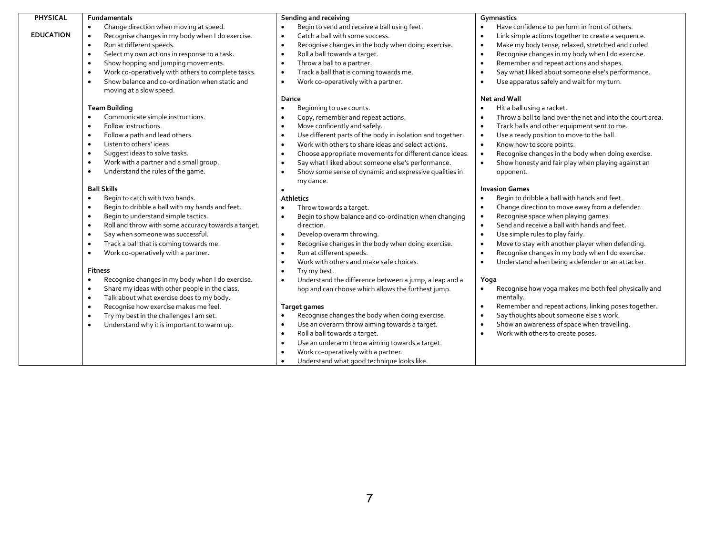| PHYSICAL         | <b>Fundamentals</b>                                              | Sending and receiving                                                    | Gymnastics                                                      |
|------------------|------------------------------------------------------------------|--------------------------------------------------------------------------|-----------------------------------------------------------------|
|                  | Change direction when moving at speed.<br>$\bullet$              | Begin to send and receive a ball using feet.                             | Have confidence to perform in front of others.                  |
| <b>EDUCATION</b> | Recognise changes in my body when I do exercise.<br>$\bullet$    | Catch a ball with some success.<br>$\bullet$                             | Link simple actions together to create a sequence.              |
|                  | Run at different speeds.<br>$\bullet$                            | Recognise changes in the body when doing exercise.<br>$\bullet$          | Make my body tense, relaxed, stretched and curled.<br>$\bullet$ |
|                  | Select my own actions in response to a task.<br>$\bullet$        | Roll a ball towards a target.<br>$\bullet$                               | Recognise changes in my body when I do exercise.<br>$\bullet$   |
|                  | Show hopping and jumping movements.<br>$\bullet$                 | Throw a ball to a partner.<br>$\bullet$                                  | Remember and repeat actions and shapes.                         |
|                  | Work co-operatively with others to complete tasks.<br>$\bullet$  | Track a ball that is coming towards me.<br>$\bullet$                     | Say what I liked about someone else's performance.<br>$\bullet$ |
|                  | Show balance and co-ordination when static and<br>$\bullet$      | Work co-operatively with a partner.<br>$\bullet$                         | Use apparatus safely and wait for my turn.<br>$\bullet$         |
|                  | moving at a slow speed.                                          |                                                                          |                                                                 |
|                  |                                                                  | Dance                                                                    | <b>Net and Wall</b>                                             |
|                  | <b>Team Building</b>                                             | Beginning to use counts.                                                 | Hit a ball using a racket.                                      |
|                  | Communicate simple instructions.<br>$\bullet$                    | Copy, remember and repeat actions.<br>$\bullet$                          | Throw a ball to land over the net and into the court area.      |
|                  | Follow instructions.<br>$\bullet$                                | Move confidently and safely.                                             | Track balls and other equipment sent to me.                     |
|                  | Follow a path and lead others.<br>$\bullet$                      | Use different parts of the body in isolation and together.               | Use a ready position to move to the ball.                       |
|                  | Listen to others' ideas.<br>$\bullet$                            | Work with others to share ideas and select actions.                      | Know how to score points.<br>$\bullet$                          |
|                  | Suggest ideas to solve tasks.<br>$\bullet$                       | Choose appropriate movements for different dance ideas.                  | Recognise changes in the body when doing exercise.              |
|                  | Work with a partner and a small group.<br>$\bullet$              | Say what I liked about someone else's performance.<br>$\bullet$          | Show honesty and fair play when playing against an              |
|                  | Understand the rules of the game.<br>$\bullet$                   | Show some sense of dynamic and expressive qualities in<br>٠<br>my dance. | opponent.                                                       |
|                  | <b>Ball Skills</b>                                               |                                                                          | <b>Invasion Games</b>                                           |
|                  | Begin to catch with two hands.<br>$\bullet$                      | <b>Athletics</b>                                                         | Begin to dribble a ball with hands and feet.                    |
|                  | Begin to dribble a ball with my hands and feet.<br>$\bullet$     | Throw towards a target.                                                  | Change direction to move away from a defender.                  |
|                  | Begin to understand simple tactics.<br>$\bullet$                 | Begin to show balance and co-ordination when changing<br>$\bullet$       | Recognise space when playing games.                             |
|                  | Roll and throw with some accuracy towards a target.<br>$\bullet$ | direction.                                                               | Send and receive a ball with hands and feet.                    |
|                  | Say when someone was successful.<br>$\bullet$                    | Develop overarm throwing.<br>$\bullet$                                   | Use simple rules to play fairly.<br>$\bullet$                   |
|                  | Track a ball that is coming towards me.<br>$\bullet$             | Recognise changes in the body when doing exercise.<br>$\bullet$          | Move to stay with another player when defending.                |
|                  | Work co-operatively with a partner.<br>$\bullet$                 | Run at different speeds.<br>$\bullet$                                    | Recognise changes in my body when I do exercise.                |
|                  |                                                                  | Work with others and make safe choices.<br>$\bullet$                     | Understand when being a defender or an attacker.<br>$\bullet$   |
|                  | <b>Fitness</b>                                                   | Try my best.<br>$\bullet$                                                |                                                                 |
|                  | Recognise changes in my body when I do exercise.<br>$\bullet$    | Understand the difference between a jump, a leap and a<br>$\bullet$      | Yoga                                                            |
|                  | Share my ideas with other people in the class.<br>$\bullet$      | hop and can choose which allows the furthest jump.                       | Recognise how yoga makes me both feel physically and            |
|                  | Talk about what exercise does to my body.<br>$\bullet$           |                                                                          | mentally.                                                       |
|                  | Recognise how exercise makes me feel.<br>$\bullet$               | <b>Target games</b>                                                      | Remember and repeat actions, linking poses together.            |
|                  | Try my best in the challenges I am set.<br>$\bullet$             | Recognise changes the body when doing exercise.<br>$\bullet$             | Say thoughts about someone else's work.                         |
|                  | Understand why it is important to warm up.<br>$\bullet$          | Use an overarm throw aiming towards a target.<br>$\bullet$               | Show an awareness of space when travelling.                     |
|                  |                                                                  | Roll a ball towards a target.<br>$\bullet$                               | Work with others to create poses.                               |
|                  |                                                                  | Use an underarm throw aiming towards a target.<br>$\bullet$              |                                                                 |
|                  |                                                                  | Work co-operatively with a partner.<br>$\bullet$                         |                                                                 |
|                  |                                                                  | Understand what good technique looks like.                               |                                                                 |